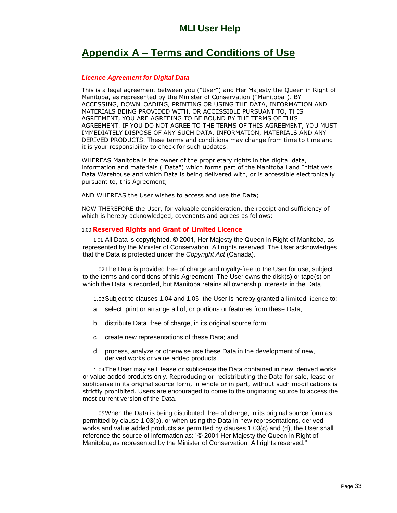## **MLI User Help**

# **Appendix <sup>A</sup> <sup>ñ</sup> Terms and Conditions of Use**

### **Licence Agreement for Digital Data**

This is a legal agreement between you ("User") and Her Majesty the Queen in Right of This is a legal agreement between you ("User") and Her Majesty the Queen in Right<br>Manitoba, as represented by the Minister of Conservation ("Manitoba"). BY Manitoba, as represented by the Minister of Conservation ("Manitoba"). BY<br>ACCESSING, DOWNLOADING, PRINTING OR USING THE DATA, INFORMATION AND ACCESSING, DOWNLOADING, PRINTING OR USING THE DATA, INFORMATION AND<br>MATERIALS BEING PROVIDED WITH, OR ACCESSIBLE PURSUANT TO, THIS MATERIALS BEING PROVIDED WITH, OR ACCESSIBLE PURSUANT TO, THIS<br>AGREEMENT, YOU ARE AGREEING TO BE BOUND BY THE TERMS OF THIS AGREEMENT, YOU ARE AGREEING TO BE BOUND BY THE TERMS OF THIS<br>AGREEMENT. IF YOU DO NOT AGREE TO THE TERMS OF THIS AGREEMENT, YOU MUST AGREEMENT. IF YOU DO NOT AGREE TO THE TERMS OF THIS AGREEMENT, YOU MUST<br>IMMEDIATELY DISPOSE OF ANY SUCH DATA, INFORMATION, MATERIALS AND ANY IMMEDIATELY DISPOSE OF ANY SUCH DATA, INFORMATION, MATERIALS AND ANY<br>DERIVED PRODUCTS. These terms and conditions may change from time to time and it is your responsibility to check for such updates.

WHEREAS Manitoba is the owner of the proprietary rights in the digital data, WHEREAS Manitoba is the owner of the proprietary rights in the digital data,<br>information and materials ("Data") which forms part of the Manitoba Land Initiative's information and materials ("Data") which forms part of the Manitoba Land Initiative's<br>Data Warehouse and which Data is being delivered with, or is accessible electronically<br>pursuant to, this Agreement:

AND WHEREAS the User wishes to access and use the Data;

NOW THEREFORE the User, for valuable consideration, the receipt and sufficiency of which is hereby acknowledged, covenants and agrees as follows:

#### 1.00 **Reserved Rights and Grant of Limited Licence**

1.01 All Data is copyrighted, © 2001, Her Majesty the Queen in Right of Manitoba, as represented by the Minister of Conservation. All rights reserved. The User acknowledges that the Data is protected under the Copyright Act (Canada).

1.02The Data is provided free of charge and royalty-free to the User for use, subject to the terms and conditions of this Agreement. The User owns the disk(s) or tape(s) on which the Data is recorded, but Manitoba retains all ownership interests in the Data.

1.03Subject to clauses 1.04 and 1.05, the User is hereby granted <sup>a</sup> limited licence to:

- a. select, print or arrange all of, or portions or features from these Data;
- b. distribute Data, free of charge, in its original source form;
- c. create new representations of these Data; and
- d. process, analyze or otherwise use these Data in the development of new, derived works or value added products.

1.04The User may sell, lease or sublicense the Data contained in new, derived works 1.04 I he User may sell, lease or sublicense the Data contained in new, derived works<br>or value added products only. Reproducing or redistributing the Data for sale, lease or or value added products only. Reproducing or redistributing the Data for sale, lease or<br>sublicense in its original source form, in whole or in part, without such modifications is strictly prohibited. Users are encouraged to come to the originating source to access the most current version of the Data.

1.05When the Data is being distributed, free of charge, in its original source form as permitted by clause 1.03(b), or when using the Data in new representations, derived works and value added products as permitted by clauses 1.03(c) and (d), the User shall permitted by clause 1.03(b), or when using the Data in new representations, derived<br>works and value added products as permitted by clauses 1.03(c) and (d), the User shal<br>reference the source of information as: "© 2001 Her Manitoba, as represented by the Minister of Conservation. All rights reserved."